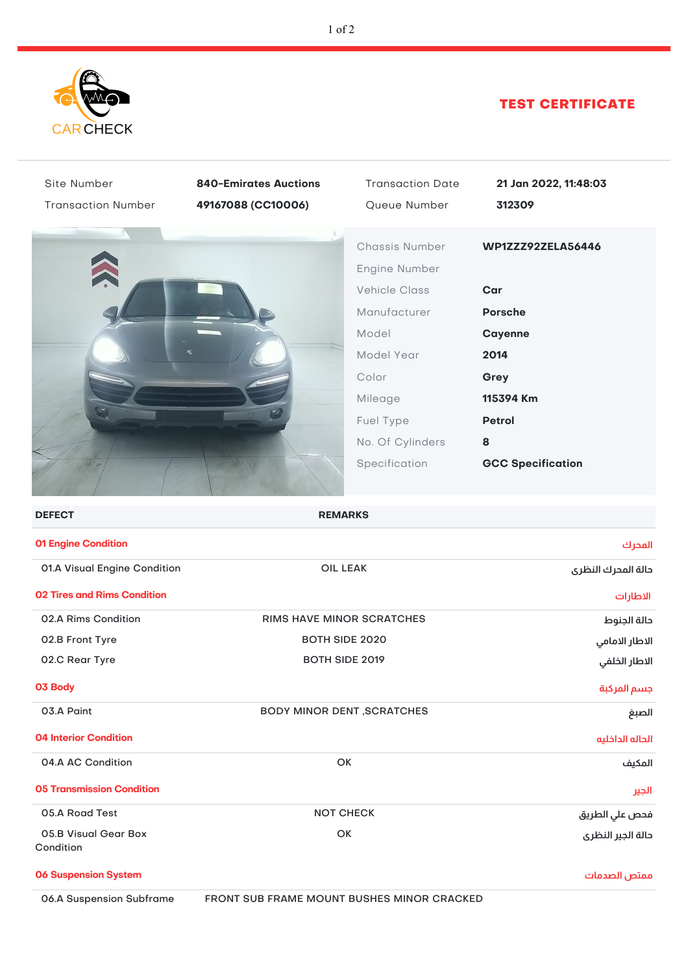

## TEST CERTIFICATE

| Site Number<br><b>Transaction Number</b> | <b>840-Emirates Auctions</b><br>49167088 (CC10006) | <b>Transaction Date</b><br>Queue Number                                                                                         | 21 Jan 2022, 11:48:03<br>312309                                                                     |
|------------------------------------------|----------------------------------------------------|---------------------------------------------------------------------------------------------------------------------------------|-----------------------------------------------------------------------------------------------------|
|                                          |                                                    | Chassis Number<br>Engine Number<br><b>Vehicle Class</b><br>Manufacturer<br>Model<br>Model Year<br>Color<br>Mileage<br>Fuel Type | WP1ZZZ92ZELA56446<br>Car<br><b>Porsche</b><br>Cayenne<br>2014<br>Grey<br>115394 Km<br><b>Petrol</b> |
|                                          |                                                    | No. Of Cylinders<br>Specification                                                                                               | 8<br><b>GCC Specification</b>                                                                       |
| <b>DEFECT</b>                            | <b>REMARKS</b>                                     |                                                                                                                                 |                                                                                                     |
| 01 Engine Condition                      |                                                    |                                                                                                                                 | المحرك                                                                                              |
| 01.A Visual Engine Condition             | <b>OIL LEAK</b>                                    |                                                                                                                                 | دالة المدرك النظرى                                                                                  |
| <b>02 Tires and Rims Condition</b>       |                                                    |                                                                                                                                 | الاطارات                                                                                            |
| 02.A Rims Condition                      | RIMS HAVE MINOR SCRATCHES                          |                                                                                                                                 | حالة الجنوط                                                                                         |
| 02.B Front Tyre                          | <b>BOTH SIDE 2020</b>                              |                                                                                                                                 | الاطار الامامي                                                                                      |
| 02.C Rear Tyre                           | BOTH SIDE 2019                                     |                                                                                                                                 | الاطار الخلفى                                                                                       |
| 03 Body                                  |                                                    |                                                                                                                                 | جسم المركبة                                                                                         |
| 03.A Paint                               | <b>BODY MINOR DENT , SCRATCHES</b>                 |                                                                                                                                 | الصبغ                                                                                               |
| <b>04 Interior Condition</b>             |                                                    |                                                                                                                                 | الحاله الداخليه                                                                                     |
| 04.A AC Condition                        | OK                                                 |                                                                                                                                 | المكيف                                                                                              |
| <b>05 Transmission Condition</b>         |                                                    |                                                                                                                                 | الجير                                                                                               |
| 05.A Road Test                           | <b>NOT CHECK</b>                                   |                                                                                                                                 | فحص علي الطريق                                                                                      |
| 05.B Visual Gear Box<br>Condition        | OK                                                 |                                                                                                                                 | حالة الجير النظرى                                                                                   |
| <b>06 Suspension System</b>              |                                                    |                                                                                                                                 | ممتص الصدمات                                                                                        |